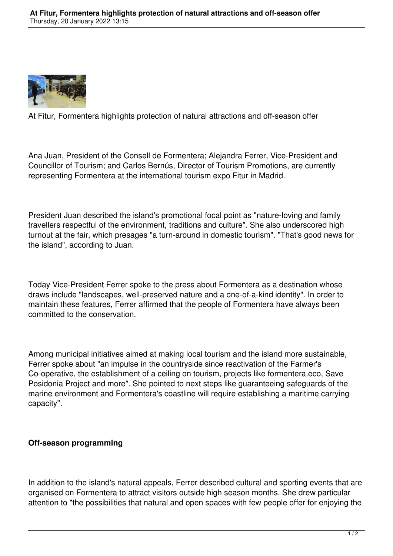

At Fitur, Formentera highlights protection of natural attractions and off-season offer

Ana Juan, President of the Consell de Formentera; Alejandra Ferrer, Vice-President and Councillor of Tourism; and Carlos Bernús, Director of Tourism Promotions, are currently representing Formentera at the international tourism expo Fitur in Madrid.

President Juan described the island's promotional focal point as "nature-loving and family travellers respectful of the environment, traditions and culture". She also underscored high turnout at the fair, which presages "a turn-around in domestic tourism". "That's good news for the island", according to Juan.

Today Vice-President Ferrer spoke to the press about Formentera as a destination whose draws include "landscapes, well-preserved nature and a one-of-a-kind identity". In order to maintain these features, Ferrer affirmed that the people of Formentera have always been committed to the conservation.

Among municipal initiatives aimed at making local tourism and the island more sustainable, Ferrer spoke about "an impulse in the countryside since reactivation of the Farmer's Co-operative, the establishment of a ceiling on tourism, projects like formentera.eco, Save Posidonia Project and more". She pointed to next steps like guaranteeing safeguards of the marine environment and Formentera's coastline will require establishing a maritime carrying capacity".

## **Off-season programming**

In addition to the island's natural appeals, Ferrer described cultural and sporting events that are organised on Formentera to attract visitors outside high season months. She drew particular attention to "the possibilities that natural and open spaces with few people offer for enjoying the